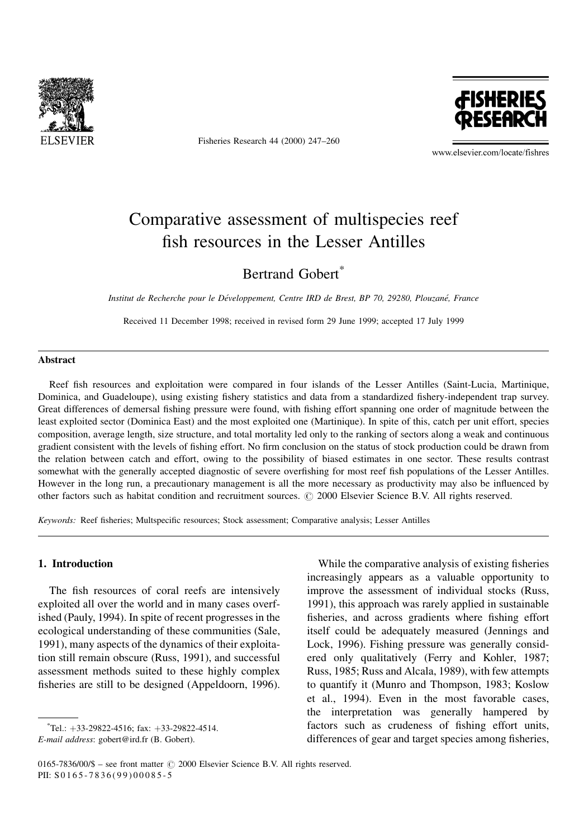

Fisheries Research 44 (2000) 247-260



www.elsevier.com/locate/fishres

# Comparative assessment of multispecies reef fish resources in the Lesser Antilles

## Bertrand Gobert<sup>\*</sup>

Institut de Recherche pour le Développement, Centre IRD de Brest, BP 70, 29280, Plouzané, France

Received 11 December 1998; received in revised form 29 June 1999; accepted 17 July 1999

## Abstract

Reef fish resources and exploitation were compared in four islands of the Lesser Antilles (Saint-Lucia, Martinique, Dominica, and Guadeloupe), using existing fishery statistics and data from a standardized fishery-independent trap survey. Great differences of demersal fishing pressure were found, with fishing effort spanning one order of magnitude between the least exploited sector (Dominica East) and the most exploited one (Martinique). In spite of this, catch per unit effort, species composition, average length, size structure, and total mortality led only to the ranking of sectors along a weak and continuous gradient consistent with the levels of fishing effort. No firm conclusion on the status of stock production could be drawn from the relation between catch and effort, owing to the possibility of biased estimates in one sector. These results contrast somewhat with the generally accepted diagnostic of severe overfishing for most reef fish populations of the Lesser Antilles. However in the long run, a precautionary management is all the more necessary as productivity may also be influenced by other factors such as habitat condition and recruitment sources. © 2000 Elsevier Science B.V. All rights reserved.

Keywords: Reef fisheries; Multspecific resources; Stock assessment; Comparative analysis; Lesser Antilles

## 1. Introduction

The fish resources of coral reefs are intensively exploited all over the world and in many cases overfished (Pauly, 1994). In spite of recent progresses in the ecological understanding of these communities (Sale, 1991), many aspects of the dynamics of their exploitation still remain obscure (Russ, 1991), and successful assessment methods suited to these highly complex fisheries are still to be designed (Appeldoorn, 1996).

 $*$ Tel.:  $+33-29822-4516$ ; fax:  $+33-29822-4514$ .

While the comparative analysis of existing fisheries increasingly appears as a valuable opportunity to improve the assessment of individual stocks (Russ, 1991), this approach was rarely applied in sustainable fisheries, and across gradients where fishing effort itself could be adequately measured (Jennings and Lock, 1996). Fishing pressure was generally considered only qualitatively (Ferry and Kohler, 1987; Russ, 1985; Russ and Alcala, 1989), with few attempts to quantify it (Munro and Thompson, 1983; Koslow et al., 1994). Even in the most favorable cases, the interpretation was generally hampered by factors such as crudeness of fishing effort units, differences of gear and target species among fisheries,

E-mail address: gobert@ird.fr (B. Gobert).

 $0165$ -7836/00/\$ - see front matter  $\odot$  2000 Elsevier Science B.V. All rights reserved. PII: S 0165-7836(99)00085-5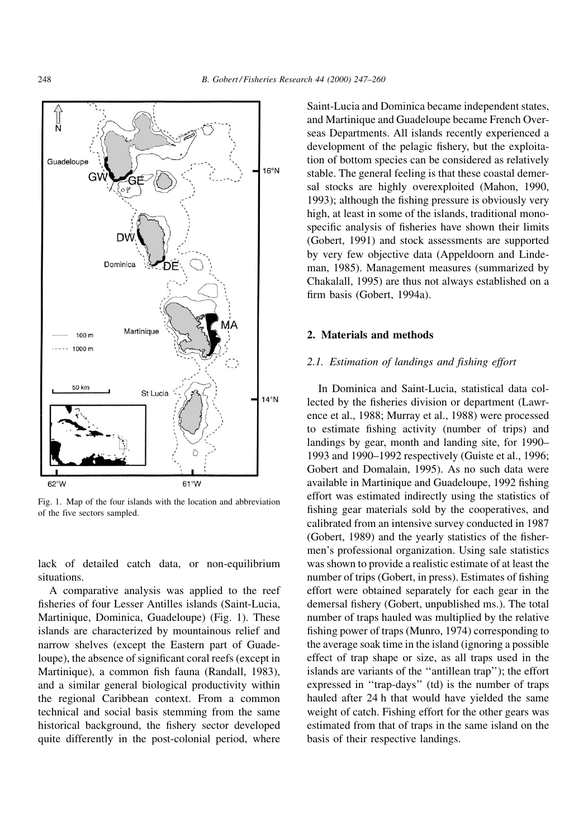

Fig. 1. Map of the four islands with the location and abbreviation of the five sectors sampled.

lack of detailed catch data, or non-equilibrium situations.

A comparative analysis was applied to the reef fisheries of four Lesser Antilles islands (Saint-Lucia, Martinique, Dominica, Guadeloupe) (Fig. 1). These islands are characterized by mountainous relief and narrow shelves (except the Eastern part of Guadeloupe), the absence of significant coral reefs (except in Martinique), a common fish fauna (Randall, 1983), and a similar general biological productivity within the regional Caribbean context. From a common technical and social basis stemming from the same historical background, the fishery sector developed quite differently in the post-colonial period, where

Saint-Lucia and Dominica became independent states, and Martinique and Guadeloupe became French Overseas Departments. All islands recently experienced a development of the pelagic fishery, but the exploitation of bottom species can be considered as relatively stable. The general feeling is that these coastal demersal stocks are highly overexploited (Mahon, 1990, 1993); although the fishing pressure is obviously very high, at least in some of the islands, traditional monospecific analysis of fisheries have shown their limits (Gobert, 1991) and stock assessments are supported by very few objective data (Appeldoorn and Lindeman, 1985). Management measures (summarized by Chakalall, 1995) are thus not always established on a firm basis (Gobert, 1994a).

### 2. Materials and methods

## 2.1. Estimation of landings and fishing effort

In Dominica and Saint-Lucia, statistical data collected by the fisheries division or department (Lawrence et al., 1988; Murray et al., 1988) were processed to estimate fishing activity (number of trips) and landings by gear, month and landing site, for 1990– 1993 and 1990–1992 respectively (Guiste et al., 1996; Gobert and Domalain, 1995). As no such data were available in Martinique and Guadeloupe, 1992 fishing effort was estimated indirectly using the statistics of fishing gear materials sold by the cooperatives, and calibrated from an intensive survey conducted in 1987  $(Gobert, 1989)$  and the yearly statistics of the fishermen's professional organization. Using sale statistics was shown to provide a realistic estimate of at least the number of trips (Gobert, in press). Estimates of fishing effort were obtained separately for each gear in the demersal fishery (Gobert, unpublished ms.). The total number of traps hauled was multiplied by the relative fishing power of traps (Munro, 1974) corresponding to the average soak time in the island (ignoring a possible effect of trap shape or size, as all traps used in the islands are variants of the "antillean trap"); the effort expressed in "trap-days" (td) is the number of traps hauled after 24 h that would have yielded the same weight of catch. Fishing effort for the other gears was estimated from that of traps in the same island on the basis of their respective landings.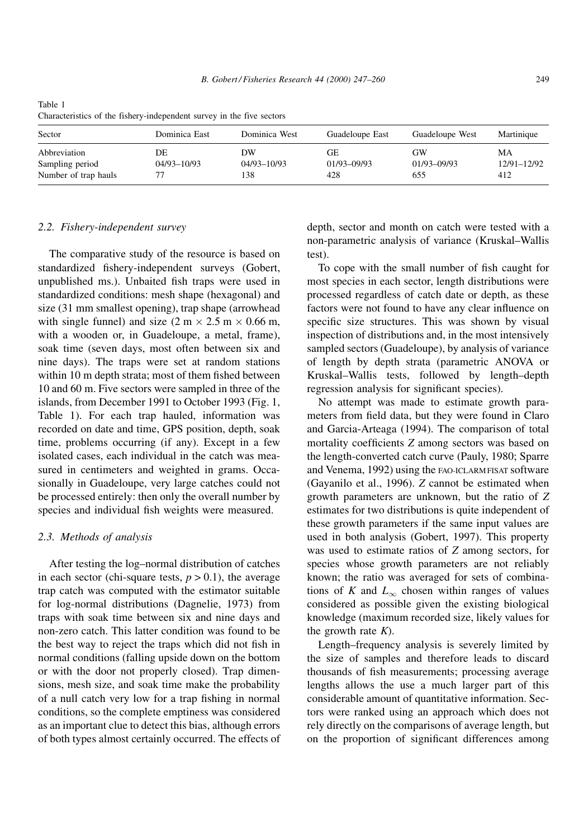| Sector                                                  | Dominica East         | Dominica West                | Guadeloupe East               | Guadeloupe West          | Martinique               |
|---------------------------------------------------------|-----------------------|------------------------------|-------------------------------|--------------------------|--------------------------|
| Abbreviation<br>Sampling period<br>Number of trap hauls | DE<br>$04/93 - 10/93$ | DW<br>$04/93 - 10/93$<br>138 | GE.<br>$01/93 - 09/93$<br>428 | GW<br>01/93-09/93<br>655 | MA<br>12/91-12/92<br>412 |

Table 1 Characteristics of the fishery-independent survey in the five sectors

#### 2.2. Fishery-independent survey

The comparative study of the resource is based on standardized fishery-independent surveys (Gobert, unpublished ms.). Unbaited fish traps were used in standardized conditions: mesh shape (hexagonal) and size (31 mm smallest opening), trap shape (arrowhead with single funnel) and size  $(2 \text{ m} \times 2.5 \text{ m} \times 0.66 \text{ m})$ , with a wooden or, in Guadeloupe, a metal, frame), soak time (seven days, most often between six and nine days). The traps were set at random stations within 10 m depth strata; most of them fished between 10 and 60 m. Five sectors were sampled in three of the islands, from December 1991 to October 1993 (Fig. 1, Table 1). For each trap hauled, information was recorded on date and time, GPS position, depth, soak time, problems occurring (if any). Except in a few isolated cases, each individual in the catch was measured in centimeters and weighted in grams. Occasionally in Guadeloupe, very large catches could not be processed entirely: then only the overall number by species and individual fish weights were measured.

#### 2.3. Methods of analysis

After testing the log-normal distribution of catches in each sector (chi-square tests,  $p > 0.1$ ), the average trap catch was computed with the estimator suitable for log-normal distributions (Dagnelie, 1973) from traps with soak time between six and nine days and non-zero catch. This latter condition was found to be the best way to reject the traps which did not fish in normal conditions (falling upside down on the bottom or with the door not properly closed). Trap dimensions, mesh size, and soak time make the probability of a null catch very low for a trap fishing in normal conditions, so the complete emptiness was considered as an important clue to detect this bias, although errors of both types almost certainly occurred. The effects of

depth, sector and month on catch were tested with a non-parametric analysis of variance (Kruskal-Wallis test).

To cope with the small number of fish caught for most species in each sector, length distributions were processed regardless of catch date or depth, as these factors were not found to have any clear influence on specific size structures. This was shown by visual inspection of distributions and, in the most intensively sampled sectors (Guadeloupe), by analysis of variance of length by depth strata (parametric ANOVA or Kruskal-Wallis tests, followed by length-depth regression analysis for significant species).

No attempt was made to estimate growth parameters from field data, but they were found in Claro and Garcia-Arteaga (1994). The comparison of total mortality coefficients  $Z$  among sectors was based on the length-converted catch curve (Pauly, 1980; Sparre and Venema, 1992) using the FAO-ICLARM FISAT software (Gayanilo et al., 1996). Z cannot be estimated when growth parameters are unknown, but the ratio of Z estimates for two distributions is quite independent of these growth parameters if the same input values are used in both analysis (Gobert, 1997). This property was used to estimate ratios of Z among sectors, for species whose growth parameters are not reliably known; the ratio was averaged for sets of combinations of K and  $L_{\infty}$  chosen within ranges of values considered as possible given the existing biological knowledge (maximum recorded size, likely values for the growth rate  $K$ ).

Length-frequency analysis is severely limited by the size of samples and therefore leads to discard thousands of fish measurements; processing average lengths allows the use a much larger part of this considerable amount of quantitative information. Sectors were ranked using an approach which does not rely directly on the comparisons of average length, but on the proportion of significant differences among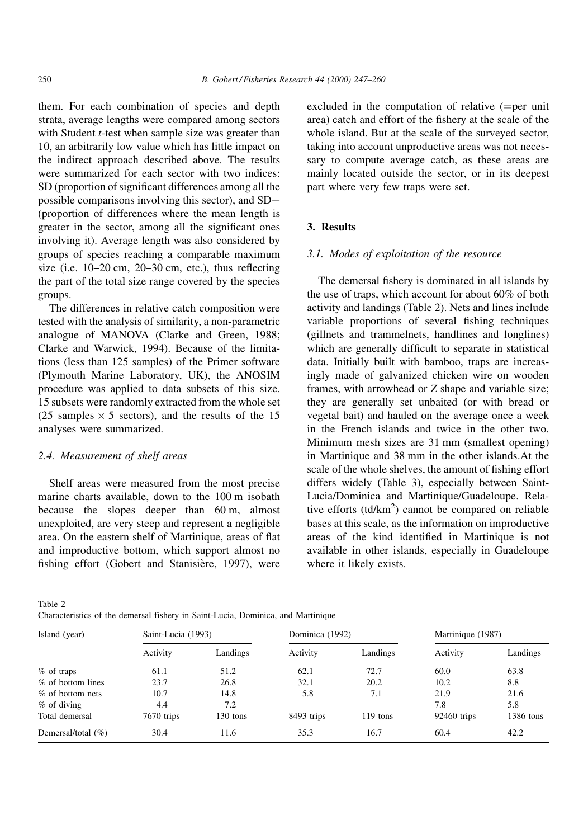them. For each combination of species and depth strata, average lengths were compared among sectors with Student *t*-test when sample size was greater than 10, an arbitrarily low value which has little impact on the indirect approach described above. The results were summarized for each sector with two indices: SD (proportion of significant differences among all the possible comparisons involving this sector), and SD (proportion of differences where the mean length is greater in the sector, among all the significant ones involving it). Average length was also considered by groups of species reaching a comparable maximum size (i.e.  $10-20$  cm,  $20-30$  cm, etc.), thus reflecting the part of the total size range covered by the species groups.

The differences in relative catch composition were tested with the analysis of similarity, a non-parametric analogue of MANOVA (Clarke and Green, 1988; Clarke and Warwick, 1994). Because of the limitations (less than 125 samples) of the Primer software (Plymouth Marine Laboratory, UK), the ANOSIM procedure was applied to data subsets of this size. 15 subsets were randomly extracted from the whole set  $(25 \text{ samples} \times 5 \text{ sectors})$ , and the results of the 15 analyses were summarized.

## 2.4. Measurement of shelf areas

Shelf areas were measured from the most precise marine charts available, down to the 100 m isobath because the slopes deeper than 60 m, almost unexploited, are very steep and represent a negligible area. On the eastern shelf of Martinique, areas of flat and improductive bottom, which support almost no fishing effort (Gobert and Stanisière, 1997), were

excluded in the computation of relative  $(=$  per unit area) catch and effort of the fishery at the scale of the whole island. But at the scale of the surveyed sector, taking into account unproductive areas was not necessary to compute average catch, as these areas are mainly located outside the sector, or in its deepest part where very few traps were set.

## 3. Results

## 3.1. Modes of exploitation of the resource

The demersal fishery is dominated in all islands by the use of traps, which account for about 60% of both activity and landings (Table 2). Nets and lines include variable proportions of several fishing techniques (gillnets and trammelnets, handlines and longlines) which are generally difficult to separate in statistical data. Initially built with bamboo, traps are increasingly made of galvanized chicken wire on wooden frames, with arrowhead or Z shape and variable size; they are generally set unbaited (or with bread or vegetal bait) and hauled on the average once a week in the French islands and twice in the other two. Minimum mesh sizes are 31 mm (smallest opening) in Martinique and 38 mm in the other islands.At the scale of the whole shelves, the amount of fishing effort differs widely (Table 3), especially between Saint-Lucia/Dominica and Martinique/Guadeloupe. Relative efforts  $(td/km<sup>2</sup>)$  cannot be compared on reliable bases at this scale, as the information on improductive areas of the kind identified in Martinique is not available in other islands, especially in Guadeloupe where it likely exists.

Table 2

Characteristics of the demersal fishery in Saint-Lucia, Dominica, and Martinique

| Island (year)      | Saint-Lucia (1993) |          | Dominica (1992) |            | Martinique (1987) |           |  |  |
|--------------------|--------------------|----------|-----------------|------------|-------------------|-----------|--|--|
|                    | Activity           | Landings | Activity        | Landings   | Activity          | Landings  |  |  |
| % of traps         | 61.1               | 51.2     | 62.1            | 72.7       | 60.0              | 63.8      |  |  |
| % of bottom lines  | 23.7               | 26.8     | 32.1            | 20.2       | 10.2              | 8.8       |  |  |
| % of bottom nets   | 10.7               | 14.8     | 5.8             | 7.1        | 21.9              | 21.6      |  |  |
| % of diving        | 4.4                | 7.2      |                 |            | 7.8               | 5.8       |  |  |
| Total demersal     | 7670 trips         | 130 tons | 8493 trips      | $119$ tons | $92460$ trips     | 1386 tons |  |  |
| Demersal/total (%) | 30.4               | 11.6     | 35.3            | 16.7       | 60.4              | 42.2      |  |  |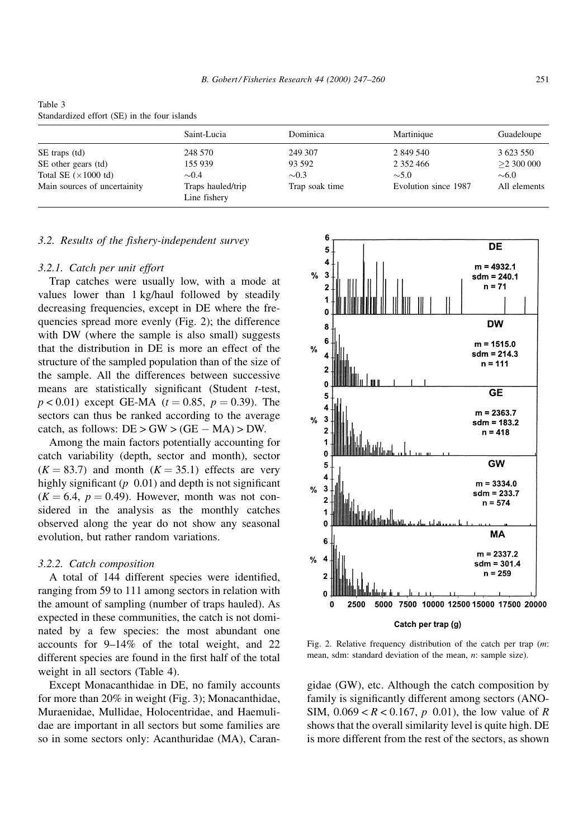|                                     | Saint-Lucia                       | Dominica       | Martinique           | Guadeloupe   |
|-------------------------------------|-----------------------------------|----------------|----------------------|--------------|
| SE traps (td)                       | 248 570                           | 249 307        | 2 849 540            | 3 623 550    |
| SE other gears (td)                 | 155 939                           | 93 592         | 2 3 5 2 4 6 6        | >2300000     |
| Total SE $(\times 1000 \text{ td})$ | $\sim 0.4$                        | $\sim 0.3$     | $\sim 5.0$           | $\sim 6.0$   |
| Main sources of uncertainity        | Traps hauled/trip<br>Line fishery | Trap soak time | Evolution since 1987 | All elements |

Table 3 Standardized effort (SE) in the four islands

## 3.2. Results of the fishery-independent survey

#### 3.2.1. Catch per unit effort

Trap catches were usually low, with a mode at values lower than 1 kg/haul followed by steadily decreasing frequencies, except in DE where the frequencies spread more evenly (Fig. 2); the difference with DW (where the sample is also small) suggests that the distribution in DE is more an effect of the structure of the sampled population than of the size of the sample. All the differences between successive means are statistically significant (Student  $t$ -test,  $p < 0.01$ ) except GE-MA ( $t = 0.85$ ,  $p = 0.39$ ). The sectors can thus be ranked according to the average catch, as follows:  $DE > GW > (GE - MA) > DW$ .

Among the main factors potentially accounting for catch variability (depth, sector and month), sector  $(K = 83.7)$  and month  $(K = 35.1)$  effects are very highly significant ( $p \ 0.01$ ) and depth is not significant  $(K = 6.4, p = 0.49)$ . However, month was not considered in the analysis as the monthly catches observed along the year do not show any seasonal evolution, but rather random variations.

#### 3.2.2. Catch composition

A total of 144 different species were identified, ranging from 59 to 111 among sectors in relation with the amount of sampling (number of traps hauled). As expected in these communities, the catch is not dominated by a few species: the most abundant one accounts for  $9-14\%$  of the total weight, and 22 different species are found in the first half of the total weight in all sectors (Table 4).

Except Monacanthidae in DE, no family accounts for more than 20% in weight (Fig. 3); Monacanthidae, Muraenidae, Mullidae, Holocentridae, and Haemulidae are important in all sectors but some families are so in some sectors only: Acanthuridae (MA), Caran-



Fig. 2. Relative frequency distribution of the catch per trap (m: mean, sdm: standard deviation of the mean, n: sample size).

gidae (GW), etc. Although the catch composition by family is significantly different among sectors (ANO-SIM,  $0.069 < R < 0.167$ , p 0.01), the low value of R shows that the overall similarity level is quite high. DE is more different from the rest of the sectors, as shown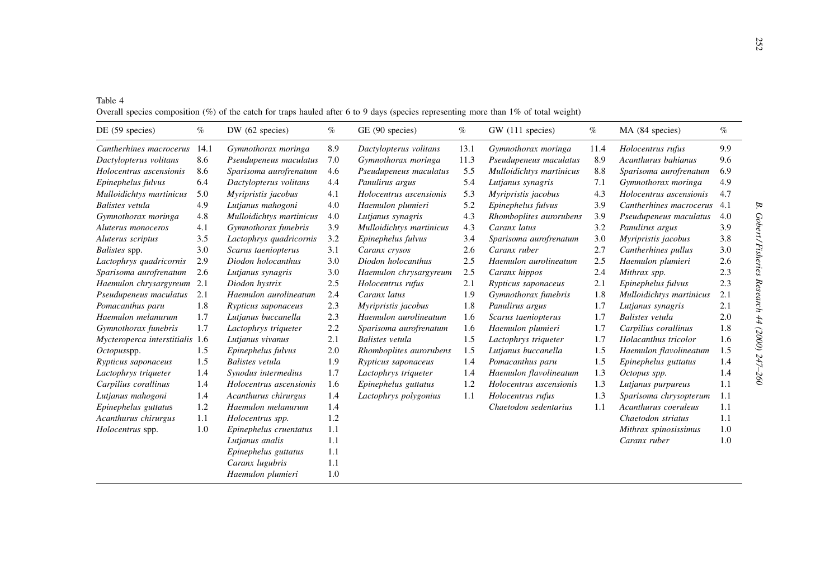| Table 4                                                                                                                                |
|----------------------------------------------------------------------------------------------------------------------------------------|
| Overall species composition $(\%)$ of the catch for traps hauled after 6 to 9 days (species representing more than 1% of total weight) |

| DE(59 species)                  | $\%$ | DW(62 species)           | $\%$ | GE (90 species)          | $\%$ | GW (111 species)         | $\%$ | MA (84 species)          | $\%$ |
|---------------------------------|------|--------------------------|------|--------------------------|------|--------------------------|------|--------------------------|------|
| Cantherhines macrocerus         | 14.1 | Gymnothorax moringa      | 8.9  | Dactylopterus volitans   | 13.1 | Gymnothorax moringa      | 11.4 | Holocentrus rufus        | 9.9  |
| Dactylopterus volitans          | 8.6  | Pseudupeneus maculatus   | 7.0  | Gymnothorax moringa      | 11.3 | Pseudupeneus maculatus   | 8.9  | Acanthurus bahianus      | 9.6  |
| Holocentrus ascensionis         | 8.6  | Sparisoma aurofrenatum   | 4.6  | Pseudupeneus maculatus   | 5.5  | Mulloidichtys martinicus | 8.8  | Sparisoma aurofrenatum   | 6.9  |
| Epinephelus fulvus              | 6.4  | Dactylopterus volitans   | 4.4  | Panulirus argus          | 5.4  | Lutjanus synagris        | 7.1  | Gymnothorax moringa      | 4.9  |
| Mulloidichtys martinicus        | 5.0  | Myripristis jacobus      | 4.1  | Holocentrus ascensionis  | 5.3  | Myripristis jacobus      | 4.3  | Holocentrus ascensionis  | 4.7  |
| <b>Balistes</b> vetula          | 4.9  | Lutjanus mahogoni        | 4.0  | Haemulon plumieri        | 5.2  | Epinephelus fulvus       | 3.9  | Cantherhines macrocerus  | 4.1  |
| Gymnothorax moringa             | 4.8  | Mulloidichtys martinicus | 4.0  | Lutjanus synagris        | 4.3  | Rhomboplites aurorubens  | 3.9  | Pseudupeneus maculatus   | 4.0  |
| Aluterus monoceros              | 4.1  | Gymnothorax funebris     | 3.9  | Mulloidichtys martinicus | 4.3  | Caranx latus             | 3.2  | Panulirus argus          | 3.9  |
| Aluterus scriptus               | 3.5  | Lactophrys quadricornis  | 3.2  | Epinephelus fulvus       | 3.4  | Sparisoma aurofrenatum   | 3.0  | Myripristis jacobus      | 3.8  |
| <i>Balistes</i> spp.            | 3.0  | Scarus taeniopterus      | 3.1  | Caranx crysos            | 2.6  | Caranx ruber             | 2.7  | Cantherhines pullus      | 3.0  |
| Lactophrys quadricornis         | 2.9  | Diodon holocanthus       | 3.0  | Diodon holocanthus       | 2.5  | Haemulon aurolineatum    | 2.5  | Haemulon plumieri        | 2.6  |
| Sparisoma aurofrenatum          | 2.6  | Lutjanus synagris        | 3.0  | Haemulon chrysargyreum   | 2.5  | Caranx hippos            | 2.4  | Mithrax spp.             | 2.3  |
| Haemulon chrysargyreum          | 2.1  | Diodon hystrix           | 2.5  | Holocentrus rufus        | 2.1  | Rypticus saponaceus      | 2.1  | Epinephelus fulvus       | 2.3  |
| Pseudupeneus maculatus          | 2.1  | Haemulon aurolineatum    | 2.4  | Caranx latus             | 1.9  | Gymnothorax funebris     | 1.8  | Mulloidichtys martinicus | 2.1  |
| Pomacanthus paru                | 1.8  | Rypticus saponaceus      | 2.3  | Myripristis jacobus      | 1.8  | Panulirus argus          | 1.7  | Lutjanus synagris        | 2.1  |
| Haemulon melanurum              | 1.7  | Lutjanus buccanella      | 2.3  | Haemulon aurolineatum    | 1.6  | Scarus taeniopterus      | 1.7  | <b>Balistes</b> vetula   | 2.0  |
| Gymnothorax funebris            | 1.7  | Lactophrys triqueter     | 2.2  | Sparisoma aurofrenatum   | 1.6  | Haemulon plumieri        | 1.7  | Carpilius corallinus     | 1.8  |
| Mycteroperca interstitialis 1.6 |      | Lutjanus vivanus         | 2.1  | <b>Balistes</b> vetula   | 1.5  | Lactophrys triqueter     | 1.7  | Holacanthus tricolor     | 1.6  |
| Octopusspp.                     | 1.5  | Epinephelus fulvus       | 2.0  | Rhomboplites aurorubens  | 1.5  | Lutjanus buccanella      | 1.5  | Haemulon flavolineatum   | 1.5  |
| Rypticus saponaceus             | 1.5  | <b>Balistes</b> vetula   | 1.9  | Rypticus saponaceus      | 1.4  | Pomacanthus paru         | 1.5  | Epinephelus guttatus     | 1.4  |
| Lactophrys triqueter            | 1.4  | Synodus intermedius      | 1.7  | Lactophrys triqueter     | 1.4  | Haemulon flavolineatum   | 1.3  | Octopus spp.             | 1.4  |
| Carpilius corallinus            | 1.4  | Holocentrus ascensionis  | 1.6  | Epinephelus guttatus     | 1.2  | Holocentrus ascensionis  | 1.3  | Lutjanus purpureus       | 1.1  |
| Lutjanus mahogoni               | 1.4  | Acanthurus chirurgus     | 1.4  | Lactophrys polygonius    | 1.1  | Holocentrus rufus        | 1.3  | Sparisoma chrysopterum   | 1.1  |
| Epinephelus guttatus            | 1.2  | Haemulon melanurum       | 1.4  |                          |      | Chaetodon sedentarius    | 1.1  | Acanthurus coeruleus     | 1.1  |
| Acanthurus chirurgus            | 1.1  | Holocentrus spp.         | 1.2  |                          |      |                          |      | Chaetodon striatus       | 1.1  |
| Holocentrus spp.                | 1.0  | Epinephelus cruentatus   | 1.1  |                          |      |                          |      | Mithrax spinosissimus    | 1.0  |
|                                 |      | Lutjanus analis          | 1.1  |                          |      |                          |      | Caranx ruber             | 1.0  |
|                                 |      | Epinephelus guttatus     | 1.1  |                          |      |                          |      |                          |      |
|                                 |      | Caranx lugubris          | 1.1  |                          |      |                          |      |                          |      |
|                                 |      | Haemulon plumieri        | 1.0  |                          |      |                          |      |                          |      |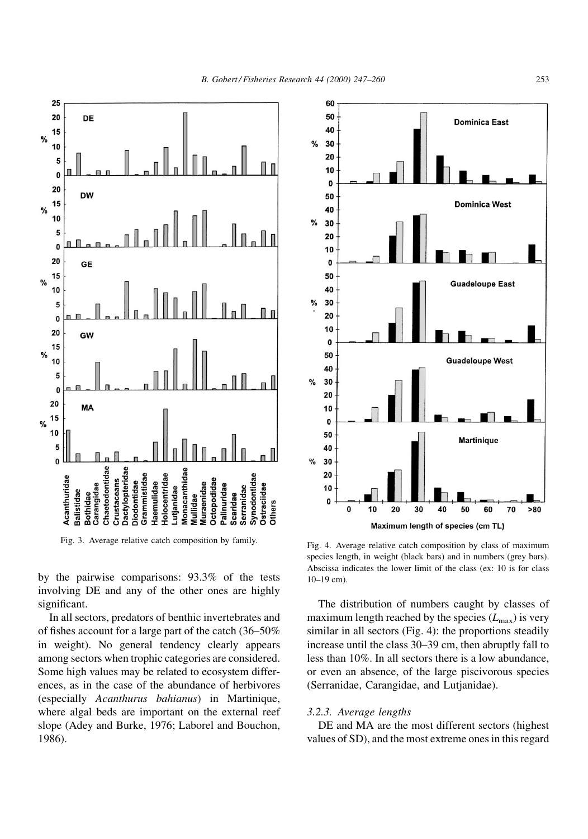

by the pairwise comparisons: 93.3% of the tests involving DE and any of the other ones are highly significant.

In all sectors, predators of benthic invertebrates and of fishes account for a large part of the catch  $(36-50\%)$ in weight). No general tendency clearly appears among sectors when trophic categories are considered. Some high values may be related to ecosystem differences, as in the case of the abundance of herbivores (especially Acanthurus bahianus) in Martinique, where algal beds are important on the external reef slope (Adey and Burke, 1976; Laborel and Bouchon, 1986).



Fig. 3. Average relative catch composition by family.<br>Fig. 4. Average relative catch composition by class of maximum species length, in weight (black bars) and in numbers (grey bars). Abscissa indicates the lower limit of the class (ex: 10 is for class  $10-19$  cm).

The distribution of numbers caught by classes of maximum length reached by the species  $(L_{\text{max}})$  is very similar in all sectors (Fig. 4): the proportions steadily increase until the class 30–39 cm, then abruptly fall to less than 10%. In all sectors there is a low abundance, or even an absence, of the large piscivorous species (Serranidae, Carangidae, and Lutjanidae).

#### 3.2.3. Average lengths

DE and MA are the most different sectors (highest values of SD), and the most extreme ones in this regard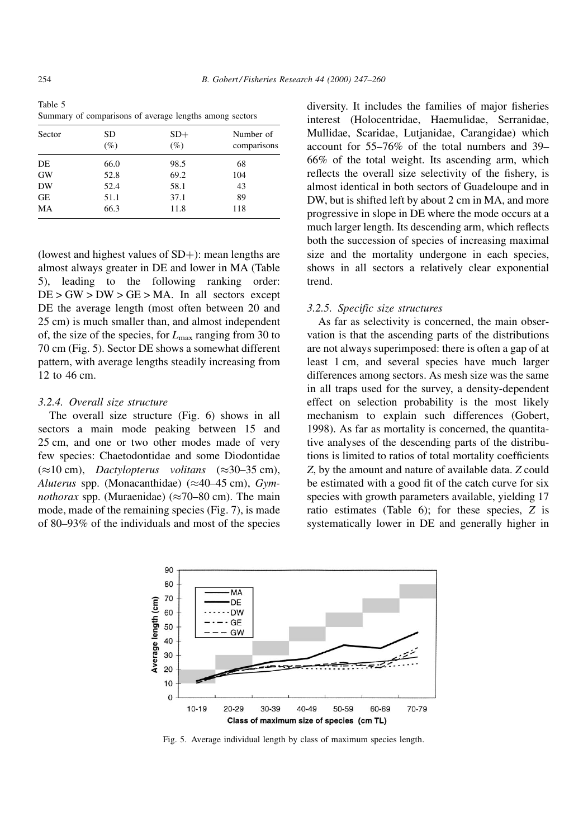Table 5 Summary of comparisons of average lengths among sectors

| Sector    | SD<br>$(\%)$ | $SD+$<br>$(\%)$ | Number of<br>comparisons |  |  |
|-----------|--------------|-----------------|--------------------------|--|--|
| DE        | 66.0         | 98.5            | 68                       |  |  |
| <b>GW</b> | 52.8         | 69.2            | 104                      |  |  |
| <b>DW</b> | 52.4         | 58.1            | 43                       |  |  |
| <b>GE</b> | 51.1         | 37.1            | 89                       |  |  |
| MA        | 66.3         | 11.8            | 118                      |  |  |

(lowest and highest values of  $SD+$ ): mean lengths are almost always greater in DE and lower in MA (Table 5), leading to the following ranking order:  $DE > GW > DW > GE > MA$ . In all sectors except DE the average length (most often between 20 and 25 cm) is much smaller than, and almost independent of, the size of the species, for  $L_{\text{max}}$  ranging from 30 to 70 cm (Fig. 5). Sector DE shows a somewhat different pattern, with average lengths steadily increasing from 12 to 46 cm.

## 3.2.4. Overall size structure

The overall size structure (Fig. 6) shows in all sectors a main mode peaking between 15 and 25 cm, and one or two other modes made of very few species: Chaetodontidae and some Diodontidae  $(\approx 10 \text{ cm})$ , Dactylopterus volitans  $(\approx 30-35 \text{ cm})$ , Aluterus spp. (Monacanthidae) ( $\approx$ 40-45 cm), Gym*nothorax* spp. (Muraenidae) ( $\approx$ 70–80 cm). The main mode, made of the remaining species (Fig. 7), is made of 80–93% of the individuals and most of the species

diversity. It includes the families of major fisheries interest (Holocentridae, Haemulidae, Serranidae, Mullidae, Scaridae, Lutjanidae, Carangidae) which account for  $55-76\%$  of the total numbers and 39-66% of the total weight. Its ascending arm, which reflects the overall size selectivity of the fishery, is almost identical in both sectors of Guadeloupe and in DW, but is shifted left by about 2 cm in MA, and more progressive in slope in DE where the mode occurs at a much larger length. Its descending arm, which reflects both the succession of species of increasing maximal size and the mortality undergone in each species, shows in all sectors a relatively clear exponential trend.

#### 3.2.5. Specific size structures

As far as selectivity is concerned, the main observation is that the ascending parts of the distributions are not always superimposed: there is often a gap of at least 1 cm, and several species have much larger differences among sectors. As mesh size was the same in all traps used for the survey, a density-dependent effect on selection probability is the most likely mechanism to explain such differences (Gobert, 1998). As far as mortality is concerned, the quantitative analyses of the descending parts of the distributions is limited to ratios of total mortality coefficients Z, by the amount and nature of available data. Z could be estimated with a good fit of the catch curve for six species with growth parameters available, yielding 17 ratio estimates (Table 6); for these species, Z is systematically lower in DE and generally higher in



Fig. 5. Average individual length by class of maximum species length.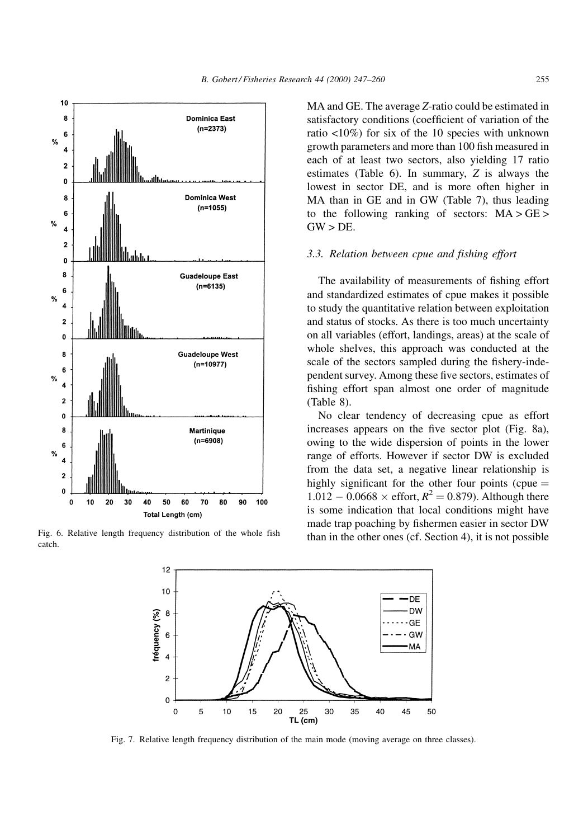

catch.

MA and GE. The average Z-ratio could be estimated in satisfactory conditions (coefficient of variation of the ratio <10%) for six of the 10 species with unknown growth parameters and more than 100 fish measured in each of at least two sectors, also yielding 17 ratio estimates (Table 6). In summary, Z is always the lowest in sector DE, and is more often higher in MA than in GE and in GW (Table 7), thus leading to the following ranking of sectors:  $MA > GE$  $GW > DE$ .

#### 3.3. Relation between cpue and fishing effort

The availability of measurements of fishing effort and standardized estimates of cpue makes it possible to study the quantitative relation between exploitation and status of stocks. As there is too much uncertainty on all variables (effort, landings, areas) at the scale of whole shelves, this approach was conducted at the scale of the sectors sampled during the fishery-independent survey. Among these five sectors, estimates of fishing effort span almost one order of magnitude (Table 8).

No clear tendency of decreasing cpue as effort increases appears on the five sector plot (Fig. 8a), owing to the wide dispersion of points in the lower range of efforts. However if sector DW is excluded from the data set, a negative linear relationship is highly significant for the other four points (cpue  $=$  $1.012 - 0.0668 \times \text{effort}, R^2 = 0.879$ . Although there is some indication that local conditions might have made trap poaching by fishermen easier in sector DW Fig. 6. Relative length frequency distribution of the whole fish than in the other ones (cf. Section 4), it is not possible



Fig. 7. Relative length frequency distribution of the main mode (moving average on three classes).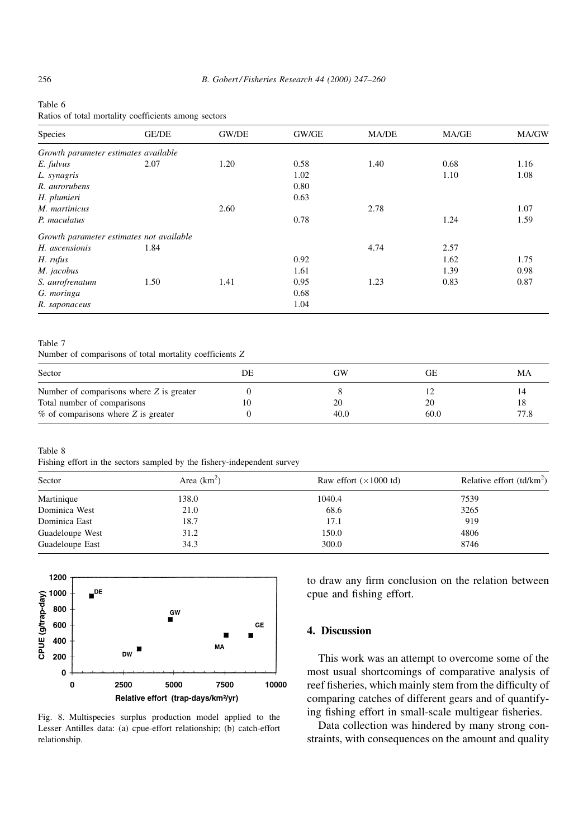## Table 6

Ratios of total mortality coefficients among sectors

| Species                                  | <b>GE/DE</b> | GW/DE | GW/GE | <b>MA/DE</b> | MA/GE | MA/GW |
|------------------------------------------|--------------|-------|-------|--------------|-------|-------|
| Growth parameter estimates available     |              |       |       |              |       |       |
| E. fulvus                                | 2.07         | 1.20  | 0.58  | 1.40         | 0.68  | 1.16  |
| L. synagris                              |              |       | 1.02  |              | 1.10  | 1.08  |
| R. aurorubens                            |              |       | 0.80  |              |       |       |
| H. plumieri                              |              |       | 0.63  |              |       |       |
| M. martinicus                            |              | 2.60  |       | 2.78         |       | 1.07  |
| P. maculatus                             |              |       | 0.78  |              | 1.24  | 1.59  |
| Growth parameter estimates not available |              |       |       |              |       |       |
| H. ascensionis                           | 1.84         |       |       | 4.74         | 2.57  |       |
| H. rufus                                 |              |       | 0.92  |              | 1.62  | 1.75  |
| M. jacobus                               |              |       | 1.61  |              | 1.39  | 0.98  |
| S. aurofrenatum                          | 1.50         | 1.41  | 0.95  | 1.23         | 0.83  | 0.87  |
| G. moringa                               |              |       | 0.68  |              |       |       |
| R. saponaceus                            |              |       | 1.04  |              |       |       |

#### Table 7

Number of comparisons of total mortality coefficients Z

| Sector                                   | DE | GW   | GЕ   | MA   |
|------------------------------------------|----|------|------|------|
| Number of comparisons where Z is greater |    |      |      |      |
| Total number of comparisons              |    | 20   | 20   |      |
| $%$ of comparisons where Z is greater    |    | 40.0 | 60.0 | 77.8 |

Table 8

Fishing effort in the sectors sampled by the fishery-independent survey

| Sector          | Area $(km^2)$ | Raw effort $(\times 1000 \text{ td})$ | Relative effort $(td/km^2)$ |  |
|-----------------|---------------|---------------------------------------|-----------------------------|--|
| Martinique      | 138.0         | 1040.4                                | 7539                        |  |
| Dominica West   | 21.0          | 68.6                                  | 3265                        |  |
| Dominica East   | 18.7          | 17.1                                  | 919                         |  |
| Guadeloupe West | 31.2          | 150.0                                 | 4806                        |  |
| Guadeloupe East | 34.3          | 300.0                                 | 8746                        |  |



Fig. 8. Multispecies surplus production model applied to the Lesser Antilles data: (a) cpue-effort relationship; (b) catch-effort relationship.

to draw any firm conclusion on the relation between cpue and fishing effort.

## 4. Discussion

This work was an attempt to overcome some of the most usual shortcomings of comparative analysis of reef fisheries, which mainly stem from the difficulty of comparing catches of different gears and of quantifying fishing effort in small-scale multigear fisheries.

Data collection was hindered by many strong constraints, with consequences on the amount and quality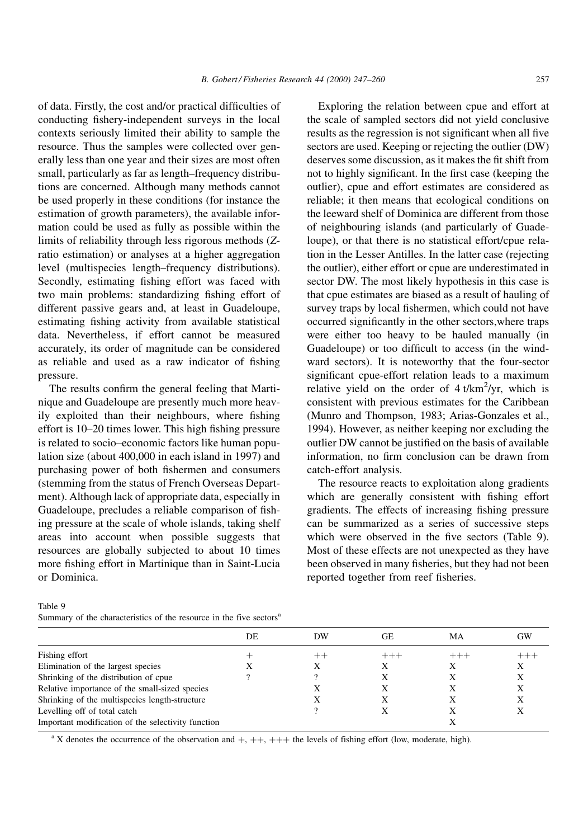B. Gobert / Fisheries Research 44 (2000) 247-260 257

of data. Firstly, the cost and/or practical difficulties of conducting fishery-independent surveys in the local contexts seriously limited their ability to sample the resource. Thus the samples were collected over generally less than one year and their sizes are most often small, particularly as far as length-frequency distributions are concerned. Although many methods cannot be used properly in these conditions (for instance the estimation of growth parameters), the available information could be used as fully as possible within the limits of reliability through less rigorous methods (Zratio estimation) or analyses at a higher aggregation level (multispecies length-frequency distributions). Secondly, estimating fishing effort was faced with two main problems: standardizing fishing effort of different passive gears and, at least in Guadeloupe, estimating fishing activity from available statistical data. Nevertheless, if effort cannot be measured accurately, its order of magnitude can be considered as reliable and used as a raw indicator of fishing pressure.

The results confirm the general feeling that Martinique and Guadeloupe are presently much more heavily exploited than their neighbours, where fishing effort is 10-20 times lower. This high fishing pressure is related to socio-economic factors like human population size (about 400,000 in each island in 1997) and purchasing power of both fishermen and consumers (stemming from the status of French Overseas Department). Although lack of appropriate data, especially in Guadeloupe, precludes a reliable comparison of fishing pressure at the scale of whole islands, taking shelf areas into account when possible suggests that resources are globally subjected to about 10 times more fishing effort in Martinique than in Saint-Lucia or Dominica.

Exploring the relation between cpue and effort at the scale of sampled sectors did not yield conclusive results as the regression is not significant when all five sectors are used. Keeping or rejecting the outlier (DW) deserves some discussion, as it makes the fit shift from not to highly significant. In the first case (keeping the outlier), cpue and effort estimates are considered as reliable; it then means that ecological conditions on the leeward shelf of Dominica are different from those of neighbouring islands (and particularly of Guadeloupe), or that there is no statistical effort/cpue relation in the Lesser Antilles. In the latter case (rejecting the outlier), either effort or cpue are underestimated in sector DW. The most likely hypothesis in this case is that cpue estimates are biased as a result of hauling of survey traps by local fishermen, which could not have occurred significantly in the other sectors, where traps were either too heavy to be hauled manually (in Guadeloupe) or too difficult to access (in the windward sectors). It is noteworthy that the four-sector significant cpue-effort relation leads to a maximum relative yield on the order of  $4 t/km^2/yr$ , which is consistent with previous estimates for the Caribbean (Munro and Thompson, 1983; Arias-Gonzales et al., 1994). However, as neither keeping nor excluding the outlier DW cannot be justified on the basis of available information, no firm conclusion can be drawn from catch-effort analysis.

The resource reacts to exploitation along gradients which are generally consistent with fishing effort gradients. The effects of increasing fishing pressure can be summarized as a series of successive steps which were observed in the five sectors (Table 9). Most of these effects are not unexpected as they have been observed in many fisheries, but they had not been reported together from reef fisheries.

|                                                    | DE | DW | GE. | МA | GW |
|----------------------------------------------------|----|----|-----|----|----|
| Fishing effort                                     |    |    |     |    |    |
| Elimination of the largest species                 |    |    | х   | Х  | X  |
| Shrinking of the distribution of cpue              |    |    |     |    |    |
| Relative importance of the small-sized species     |    |    |     |    |    |
| Shrinking of the multispecies length-structure     |    |    |     |    |    |
| Levelling off of total catch                       |    |    |     |    |    |
| Important modification of the selectivity function |    |    |     |    |    |
|                                                    |    |    |     |    |    |

Table 9

Summary of the characteristics of the resource in the five sectors<sup>a</sup>

<sup>a</sup> X denotes the occurrence of the observation and  $+, ++, ++$  the levels of fishing effort (low, moderate, high).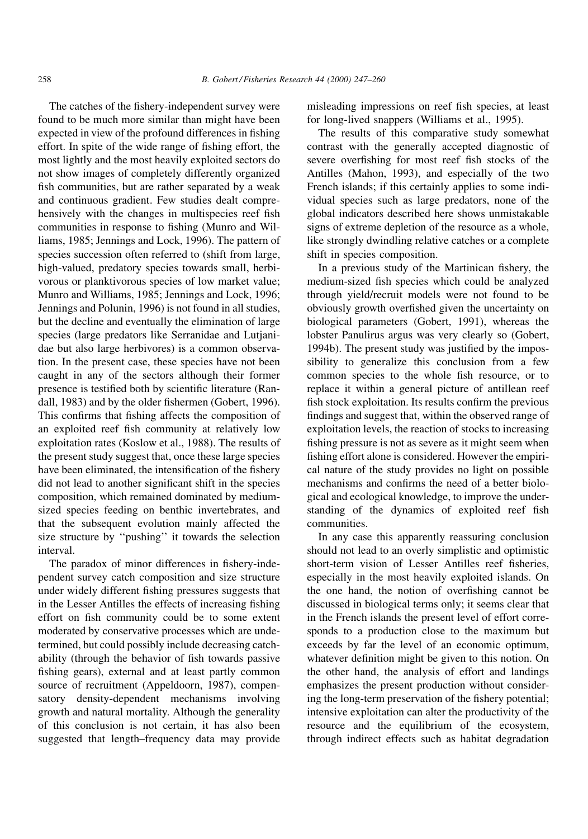The catches of the fishery-independent survey were found to be much more similar than might have been expected in view of the profound differences in fishing effort. In spite of the wide range of fishing effort, the most lightly and the most heavily exploited sectors do not show images of completely differently organized fish communities, but are rather separated by a weak and continuous gradient. Few studies dealt comprehensively with the changes in multispecies reef fish communities in response to fishing (Munro and Williams, 1985; Jennings and Lock, 1996). The pattern of species succession often referred to (shift from large, high-valued, predatory species towards small, herbivorous or planktivorous species of low market value; Munro and Williams, 1985; Jennings and Lock, 1996; Jennings and Polunin, 1996) is not found in all studies, but the decline and eventually the elimination of large species (large predators like Serranidae and Lutjanidae but also large herbivores) is a common observation. In the present case, these species have not been caught in any of the sectors although their former presence is testified both by scientific literature (Randall, 1983) and by the older fishermen (Gobert, 1996). This confirms that fishing affects the composition of an exploited reef fish community at relatively low exploitation rates (Koslow et al., 1988). The results of the present study suggest that, once these large species have been eliminated, the intensification of the fishery did not lead to another significant shift in the species composition, which remained dominated by mediumsized species feeding on benthic invertebrates, and that the subsequent evolution mainly affected the size structure by "pushing" it towards the selection interval.

The paradox of minor differences in fishery-independent survey catch composition and size structure under widely different fishing pressures suggests that in the Lesser Antilles the effects of increasing fishing effort on fish community could be to some extent moderated by conservative processes which are undetermined, but could possibly include decreasing catchability (through the behavior of fish towards passive fishing gears), external and at least partly common source of recruitment (Appeldoorn, 1987), compensatory density-dependent mechanisms involving growth and natural mortality. Although the generality of this conclusion is not certain, it has also been suggested that length-frequency data may provide misleading impressions on reef fish species, at least for long-lived snappers (Williams et al., 1995).

The results of this comparative study somewhat contrast with the generally accepted diagnostic of severe overfishing for most reef fish stocks of the Antilles (Mahon, 1993), and especially of the two French islands; if this certainly applies to some individual species such as large predators, none of the global indicators described here shows unmistakable signs of extreme depletion of the resource as a whole, like strongly dwindling relative catches or a complete shift in species composition.

In a previous study of the Martinican fishery, the medium-sized fish species which could be analyzed through yield/recruit models were not found to be obviously growth overfished given the uncertainty on biological parameters (Gobert, 1991), whereas the lobster Panulirus argus was very clearly so (Gobert, 1994b). The present study was justified by the impossibility to generalize this conclusion from a few common species to the whole fish resource, or to replace it within a general picture of antillean reef fish stock exploitation. Its results confirm the previous findings and suggest that, within the observed range of exploitation levels, the reaction of stocks to increasing fishing pressure is not as severe as it might seem when fishing effort alone is considered. However the empirical nature of the study provides no light on possible mechanisms and confirms the need of a better biological and ecological knowledge, to improve the understanding of the dynamics of exploited reef fish communities.

In any case this apparently reassuring conclusion should not lead to an overly simplistic and optimistic short-term vision of Lesser Antilles reef fisheries, especially in the most heavily exploited islands. On the one hand, the notion of overfishing cannot be discussed in biological terms only; it seems clear that in the French islands the present level of effort corresponds to a production close to the maximum but exceeds by far the level of an economic optimum, whatever definition might be given to this notion. On the other hand, the analysis of effort and landings emphasizes the present production without considering the long-term preservation of the fishery potential; intensive exploitation can alter the productivity of the resource and the equilibrium of the ecosystem, through indirect effects such as habitat degradation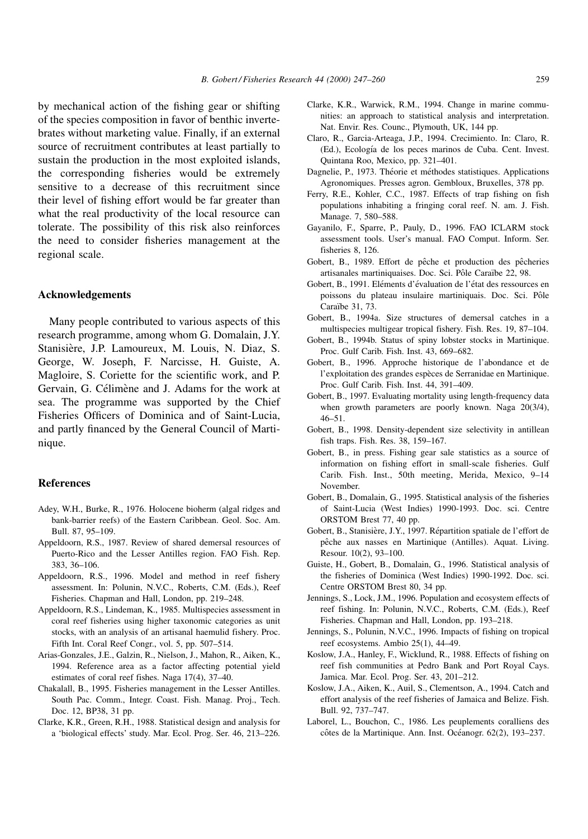by mechanical action of the fishing gear or shifting of the species composition in favor of benthic invertebrates without marketing value. Finally, if an external source of recruitment contributes at least partially to sustain the production in the most exploited islands, the corresponding fisheries would be extremely sensitive to a decrease of this recruitment since their level of fishing effort would be far greater than what the real productivity of the local resource can tolerate. The possibility of this risk also reinforces the need to consider fisheries management at the regional scale.

## Acknowledgements

Many people contributed to various aspects of this research programme, among whom G. Domalain, J.Y. Stanisière, J.P. Lamoureux, M. Louis, N. Diaz, S. George, W. Joseph, F. Narcisse, H. Guiste, A. Magloire, S. Coriette for the scientific work, and P. Gervain, G. Célimène and J. Adams for the work at sea. The programme was supported by the Chief Fisheries Officers of Dominica and of Saint-Lucia, and partly financed by the General Council of Martinique.

#### References

- Adey, W.H., Burke, R., 1976. Holocene bioherm (algal ridges and bank-barrier reefs) of the Eastern Caribbean. Geol. Soc. Am. Bull. 87, 95-109.
- Appeldoorn, R.S., 1987. Review of shared demersal resources of Puerto-Rico and the Lesser Antilles region. FAO Fish. Rep. 383, 36-106.
- Appeldoorn, R.S., 1996. Model and method in reef fishery assessment. In: Polunin, N.V.C., Roberts, C.M. (Eds.), Reef Fisheries. Chapman and Hall, London, pp. 219-248.
- Appeldoorn, R.S., Lindeman, K., 1985. Multispecies assessment in coral reef fisheries using higher taxonomic categories as unit stocks, with an analysis of an artisanal haemulid fishery. Proc. Fifth Int. Coral Reef Congr., vol. 5, pp. 507-514.
- Arias-Gonzales, J.E., Galzin, R., Nielson, J., Mahon, R., Aiken, K., 1994. Reference area as a factor affecting potential yield estimates of coral reef fishes. Naga  $17(4)$ ,  $37-40$ .
- Chakalall, B., 1995. Fisheries management in the Lesser Antilles. South Pac. Comm., Integr. Coast. Fish. Manag. Proj., Tech. Doc. 12, BP38, 31 pp.
- Clarke, K.R., Green, R.H., 1988. Statistical design and analysis for a 'biological effects' study. Mar. Ecol. Prog. Ser. 46, 213-226.
- Clarke, K.R., Warwick, R.M., 1994. Change in marine communities: an approach to statistical analysis and interpretation. Nat. Envir. Res. Counc., Plymouth, UK, 144 pp.
- Claro, R., Garcia-Arteaga, J.P., 1994. Crecimiento. In: Claro, R. (Ed.), Ecología de los peces marinos de Cuba. Cent. Invest. Quintana Roo, Mexico, pp. 321-401.
- Dagnelie, P., 1973. Théorie et méthodes statistiques. Applications Agronomiques. Presses agron. Gembloux, Bruxelles, 378 pp.
- Ferry, R.E., Kohler, C.C., 1987. Effects of trap fishing on fish populations inhabiting a fringing coral reef. N. am. J. Fish. Manage. 7, 580-588.
- Gayanilo, F., Sparre, P., Pauly, D., 1996. FAO ICLARM stock assessment tools. User's manual. FAO Comput. Inform. Ser. fisheries 8, 126.
- Gobert, B., 1989. Effort de pêche et production des pêcheries artisanales martiniquaises. Doc. Sci. Pôle Caraïbe 22, 98.
- Gobert, B., 1991. Eléments d'évaluation de l'état des ressources en poissons du plateau insulaire martiniquais. Doc. Sci. Pôle Caraïbe 31, 73.
- Gobert, B., 1994a. Size structures of demersal catches in a multispecies multigear tropical fishery. Fish. Res. 19, 87-104.
- Gobert, B., 1994b. Status of spiny lobster stocks in Martinique. Proc. Gulf Carib. Fish. Inst. 43, 669-682.
- Gobert, B., 1996. Approche historique de l'abondance et de l'exploitation des grandes espèces de Serranidae en Martinique. Proc. Gulf Carib. Fish. Inst. 44, 391-409.
- Gobert, B., 1997. Evaluating mortality using length-frequency data when growth parameters are poorly known. Naga 20(3/4),  $46 - 51$ .
- Gobert, B., 1998. Density-dependent size selectivity in antillean fish traps. Fish. Res.  $38$ ,  $159-167$ .
- Gobert, B., in press. Fishing gear sale statistics as a source of information on fishing effort in small-scale fisheries. Gulf Carib. Fish. Inst., 50th meeting, Merida, Mexico, 9-14 November.
- Gobert, B., Domalain, G., 1995. Statistical analysis of the fisheries of Saint-Lucia (West Indies) 1990-1993. Doc. sci. Centre ORSTOM Brest 77, 40 pp.
- Gobert, B., Stanisière, J.Y., 1997. Répartition spatiale de l'effort de pêche aux nasses en Martinique (Antilles). Aquat. Living. Resour. 10(2), 93-100.
- Guiste, H., Gobert, B., Domalain, G., 1996. Statistical analysis of the fisheries of Dominica (West Indies) 1990-1992. Doc. sci. Centre ORSTOM Brest 80, 34 pp.
- Jennings, S., Lock, J.M., 1996. Population and ecosystem effects of reef fishing. In: Polunin, N.V.C., Roberts, C.M. (Eds.), Reef Fisheries. Chapman and Hall, London, pp. 193-218.
- Jennings, S., Polunin, N.V.C., 1996. Impacts of fishing on tropical reef ecosystems. Ambio  $25(1)$ , 44-49.
- Koslow, J.A., Hanley, F., Wicklund, R., 1988. Effects of fishing on reef fish communities at Pedro Bank and Port Royal Cays. Jamica. Mar. Ecol. Prog. Ser. 43, 201-212.
- Koslow, J.A., Aiken, K., Auil, S., Clementson, A., 1994. Catch and effort analysis of the reef fisheries of Jamaica and Belize. Fish. Bull. 92, 737-747.
- Laborel, L., Bouchon, C., 1986. Les peuplements coralliens des côtes de la Martinique. Ann. Inst. Océanogr. 62(2), 193-237.